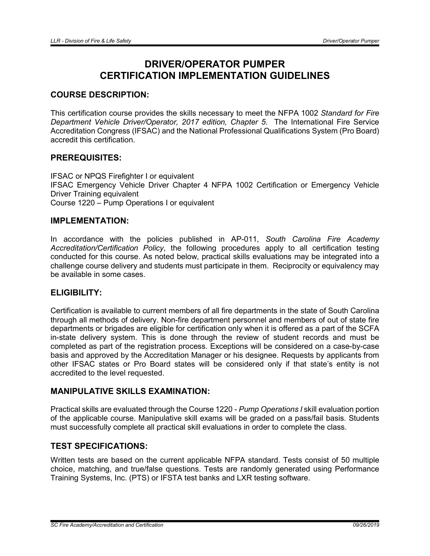# DRIVER/OPERATOR PUMPER CERTIFICATION IMPLEMENTATION GUIDELINES

# COURSE DESCRIPTION:

This certification course provides the skills necessary to meet the NFPA 1002 *Standard for Fire Department Vehicle Driver/Operator, 2017 edition, Chapter 5*. The International Fire Service Accreditation Congress (IFSAC) and the National Professional Qualifications System (Pro Board) accredit this certification.

# PREREQUISITES:

IFSAC or NPQS Firefighter I or equivalent IFSAC Emergency Vehicle Driver Chapter 4 NFPA 1002 Certification or Emergency Vehicle Driver Training equivalent Course 1220 – Pump Operations I or equivalent

# IMPLEMENTATION:

In accordance with the policies published in AP-011, *South Carolina Fire Academy Accreditation/Certification Policy*, the following procedures apply to all certification testing conducted for this course. As noted below, practical skills evaluations may be integrated into a challenge course delivery and students must participate in them. Reciprocity or equivalency may be available in some cases.

### ELIGIBILITY:

Certification is available to current members of all fire departments in the state of South Carolina through all methods of delivery. Non-fire department personnel and members of out of state fire departments or brigades are eligible for certification only when it is offered as a part of the SCFA in-state delivery system. This is done through the review of student records and must be completed as part of the registration process. Exceptions will be considered on a case-by-case basis and approved by the Accreditation Manager or his designee. Requests by applicants from other IFSAC states or Pro Board states will be considered only if that state's entity is not accredited to the level requested.

# MANIPULATIVE SKILLS EXAMINATION:

Practical skills are evaluated through the Course 1220 - *Pump Operations I* skill evaluation portion of the applicable course. Manipulative skill exams will be graded on a pass/fail basis. Students must successfully complete all practical skill evaluations in order to complete the class.

## TEST SPECIFICATIONS:

Written tests are based on the current applicable NFPA standard. Tests consist of 50 multiple choice, matching, and true/false questions. Tests are randomly generated using Performance Training Systems, Inc. (PTS) or IFSTA test banks and LXR testing software.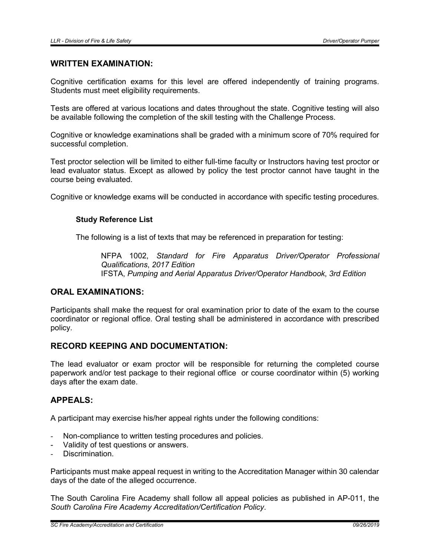## WRITTEN EXAMINATION:

Cognitive certification exams for this level are offered independently of training programs. Students must meet eligibility requirements.

Tests are offered at various locations and dates throughout the state. Cognitive testing will also be available following the completion of the skill testing with the Challenge Process.

Cognitive or knowledge examinations shall be graded with a minimum score of 70% required for successful completion.

Test proctor selection will be limited to either full-time faculty or Instructors having test proctor or lead evaluator status. Except as allowed by policy the test proctor cannot have taught in the course being evaluated.

Cognitive or knowledge exams will be conducted in accordance with specific testing procedures.

### Study Reference List

The following is a list of texts that may be referenced in preparation for testing:

NFPA 1002, *Standard for Fire Apparatus Driver/Operator Professional Qualifications*, *2017 Edition* IFSTA, *Pumping and Aerial Apparatus Driver/Operator Handbook*, *3rd Edition*

## ORAL EXAMINATIONS:

Participants shall make the request for oral examination prior to date of the exam to the course coordinator or regional office. Oral testing shall be administered in accordance with prescribed policy.

## RECORD KEEPING AND DOCUMENTATION:

The lead evaluator or exam proctor will be responsible for returning the completed course paperwork and/or test package to their regional office or course coordinator within (5) working days after the exam date.

### APPEALS:

A participant may exercise his/her appeal rights under the following conditions:

- Non-compliance to written testing procedures and policies.
- Validity of test questions or answers.
- Discrimination.

Participants must make appeal request in writing to the Accreditation Manager within 30 calendar days of the date of the alleged occurrence.

The South Carolina Fire Academy shall follow all appeal policies as published in AP-011, the *South Carolina Fire Academy Accreditation/Certification Policy*.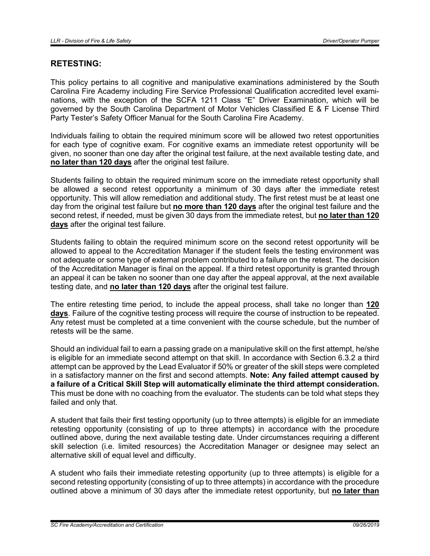# RETESTING:

This policy pertains to all cognitive and manipulative examinations administered by the South Carolina Fire Academy including Fire Service Professional Qualification accredited level examinations, with the exception of the SCFA 1211 Class "E" Driver Examination, which will be governed by the South Carolina Department of Motor Vehicles Classified E & F License Third Party Tester's Safety Officer Manual for the South Carolina Fire Academy.

Individuals failing to obtain the required minimum score will be allowed two retest opportunities for each type of cognitive exam. For cognitive exams an immediate retest opportunity will be given, no sooner than one day after the original test failure, at the next available testing date, and no later than 120 days after the original test failure.

Students failing to obtain the required minimum score on the immediate retest opportunity shall be allowed a second retest opportunity a minimum of 30 days after the immediate retest opportunity. This will allow remediation and additional study. The first retest must be at least one day from the original test failure but no more than 120 days after the original test failure and the second retest, if needed, must be given 30 days from the immediate retest, but no later than 120 days after the original test failure.

Students failing to obtain the required minimum score on the second retest opportunity will be allowed to appeal to the Accreditation Manager if the student feels the testing environment was not adequate or some type of external problem contributed to a failure on the retest. The decision of the Accreditation Manager is final on the appeal. If a third retest opportunity is granted through an appeal it can be taken no sooner than one day after the appeal approval, at the next available testing date, and no later than 120 days after the original test failure.

The entire retesting time period, to include the appeal process, shall take no longer than 120 days. Failure of the cognitive testing process will require the course of instruction to be repeated. Any retest must be completed at a time convenient with the course schedule, but the number of retests will be the same.

Should an individual fail to earn a passing grade on a manipulative skill on the first attempt, he/she is eligible for an immediate second attempt on that skill. In accordance with Section 6.3.2 a third attempt can be approved by the Lead Evaluator if 50% or greater of the skill steps were completed in a satisfactory manner on the first and second attempts. Note: Any failed attempt caused by a failure of a Critical Skill Step will automatically eliminate the third attempt consideration. This must be done with no coaching from the evaluator. The students can be told what steps they failed and only that.

A student that fails their first testing opportunity (up to three attempts) is eligible for an immediate retesting opportunity (consisting of up to three attempts) in accordance with the procedure outlined above, during the next available testing date. Under circumstances requiring a different skill selection (i.e. limited resources) the Accreditation Manager or designee may select an alternative skill of equal level and difficulty.

A student who fails their immediate retesting opportunity (up to three attempts) is eligible for a second retesting opportunity (consisting of up to three attempts) in accordance with the procedure outlined above a minimum of 30 days after the immediate retest opportunity, but no later than